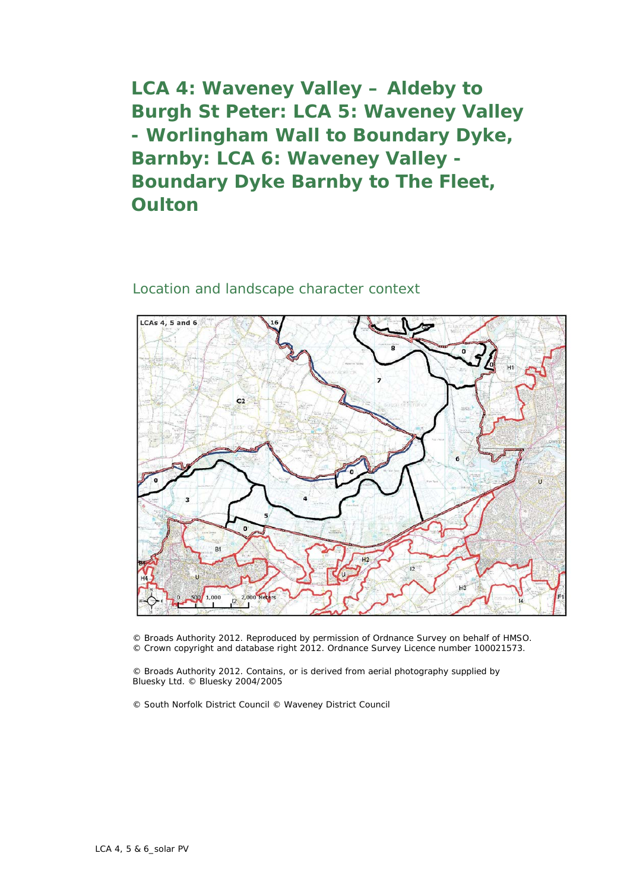**LCA 4: Waveney Valley – Aldeby to Burgh St Peter: LCA 5: Waveney Valley - Worlingham Wall to Boundary Dyke, Barnby: LCA 6: Waveney Valley - Boundary Dyke Barnby to The Fleet, Oulton**

## Location and landscape character context



© Broads Authority 2012. Reproduced by permission of Ordnance Survey on behalf of HMSO. © Crown copyright and database right 2012. Ordnance Survey Licence number 100021573.

© Broads Authority 2012. Contains, or is derived from aerial photography supplied by Bluesky Ltd. © Bluesky 2004/2005

© South Norfolk District Council © Waveney District Council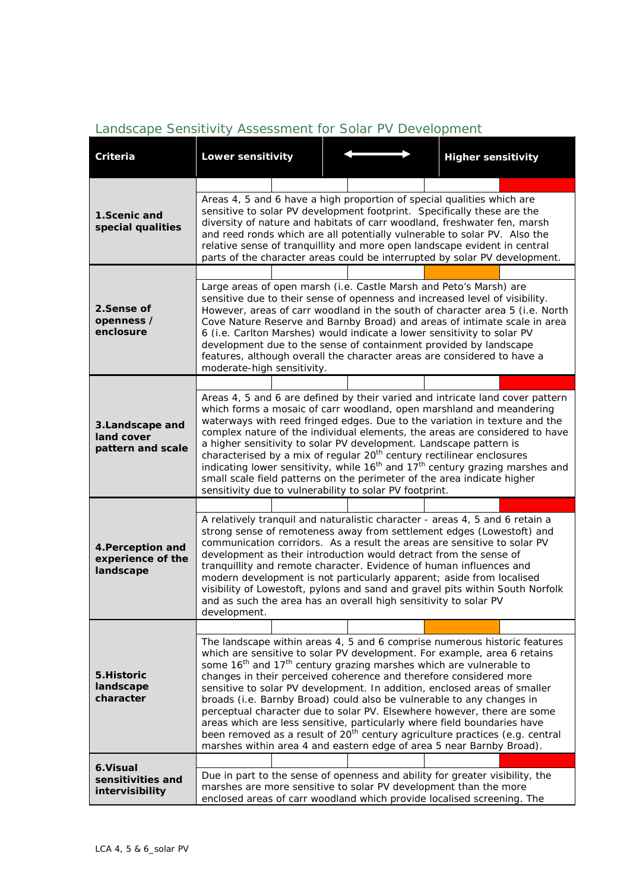| <b>Criteria</b>                                     | Lower sensitivity                                                                                                                                                                                                                                                                                                                                                                                                                                                                                                                                                                                                                                                                                                                                                                                          |  | <b>Higher sensitivity</b> |  |  |  |
|-----------------------------------------------------|------------------------------------------------------------------------------------------------------------------------------------------------------------------------------------------------------------------------------------------------------------------------------------------------------------------------------------------------------------------------------------------------------------------------------------------------------------------------------------------------------------------------------------------------------------------------------------------------------------------------------------------------------------------------------------------------------------------------------------------------------------------------------------------------------------|--|---------------------------|--|--|--|
|                                                     |                                                                                                                                                                                                                                                                                                                                                                                                                                                                                                                                                                                                                                                                                                                                                                                                            |  |                           |  |  |  |
| 1.Scenic and<br>special qualities                   | Areas 4, 5 and 6 have a high proportion of special qualities which are<br>sensitive to solar PV development footprint. Specifically these are the<br>diversity of nature and habitats of carr woodland, freshwater fen, marsh<br>and reed ronds which are all potentially vulnerable to solar PV. Also the<br>relative sense of tranquillity and more open landscape evident in central<br>parts of the character areas could be interrupted by solar PV development.                                                                                                                                                                                                                                                                                                                                      |  |                           |  |  |  |
|                                                     |                                                                                                                                                                                                                                                                                                                                                                                                                                                                                                                                                                                                                                                                                                                                                                                                            |  |                           |  |  |  |
| 2.Sense of<br>openness /<br>enclosure               | Large areas of open marsh (i.e. Castle Marsh and Peto's Marsh) are<br>sensitive due to their sense of openness and increased level of visibility.<br>However, areas of carr woodland in the south of character area 5 (i.e. North<br>Cove Nature Reserve and Barnby Broad) and areas of intimate scale in area<br>6 (i.e. Carlton Marshes) would indicate a lower sensitivity to solar PV<br>development due to the sense of containment provided by landscape<br>features, although overall the character areas are considered to have a<br>moderate-high sensitivity.                                                                                                                                                                                                                                    |  |                           |  |  |  |
|                                                     |                                                                                                                                                                                                                                                                                                                                                                                                                                                                                                                                                                                                                                                                                                                                                                                                            |  |                           |  |  |  |
| 3.Landscape and<br>land cover<br>pattern and scale  | Areas 4, 5 and 6 are defined by their varied and intricate land cover pattern<br>which forms a mosaic of carr woodland, open marshland and meandering<br>waterways with reed fringed edges. Due to the variation in texture and the<br>complex nature of the individual elements, the areas are considered to have<br>a higher sensitivity to solar PV development. Landscape pattern is<br>characterised by a mix of regular 20 <sup>th</sup> century rectilinear enclosures<br>indicating lower sensitivity, while 16 <sup>th</sup> and 17 <sup>th</sup> century grazing marshes and<br>small scale field patterns on the perimeter of the area indicate higher<br>sensitivity due to vulnerability to solar PV footprint.                                                                               |  |                           |  |  |  |
|                                                     |                                                                                                                                                                                                                                                                                                                                                                                                                                                                                                                                                                                                                                                                                                                                                                                                            |  |                           |  |  |  |
| 4. Perception and<br>experience of the<br>landscape | A relatively tranquil and naturalistic character - areas 4, 5 and 6 retain a<br>strong sense of remoteness away from settlement edges (Lowestoft) and<br>communication corridors. As a result the areas are sensitive to solar PV<br>development as their introduction would detract from the sense of<br>tranquillity and remote character. Evidence of human influences and<br>modern development is not particularly apparent; aside from localised<br>visibility of Lowestoft, pylons and sand and gravel pits within South Norfolk<br>and as such the area has an overall high sensitivity to solar PV<br>development.                                                                                                                                                                                |  |                           |  |  |  |
| 5. Historic<br>landscape<br>character               |                                                                                                                                                                                                                                                                                                                                                                                                                                                                                                                                                                                                                                                                                                                                                                                                            |  |                           |  |  |  |
|                                                     | The landscape within areas 4, 5 and 6 comprise numerous historic features<br>which are sensitive to solar PV development. For example, area 6 retains<br>some 16 <sup>th</sup> and 17 <sup>th</sup> century grazing marshes which are vulnerable to<br>changes in their perceived coherence and therefore considered more<br>sensitive to solar PV development. In addition, enclosed areas of smaller<br>broads (i.e. Barnby Broad) could also be vulnerable to any changes in<br>perceptual character due to solar PV. Elsewhere however, there are some<br>areas which are less sensitive, particularly where field boundaries have<br>been removed as a result of 20 <sup>th</sup> century agriculture practices (e.g. central<br>marshes within area 4 and eastern edge of area 5 near Barnby Broad). |  |                           |  |  |  |
| 6.Visual<br>sensitivities and<br>intervisibility    |                                                                                                                                                                                                                                                                                                                                                                                                                                                                                                                                                                                                                                                                                                                                                                                                            |  |                           |  |  |  |
|                                                     | Due in part to the sense of openness and ability for greater visibility, the<br>marshes are more sensitive to solar PV development than the more<br>enclosed areas of carr woodland which provide localised screening. The                                                                                                                                                                                                                                                                                                                                                                                                                                                                                                                                                                                 |  |                           |  |  |  |

## *Landscape Sensitivity Assessment for Solar PV Development*